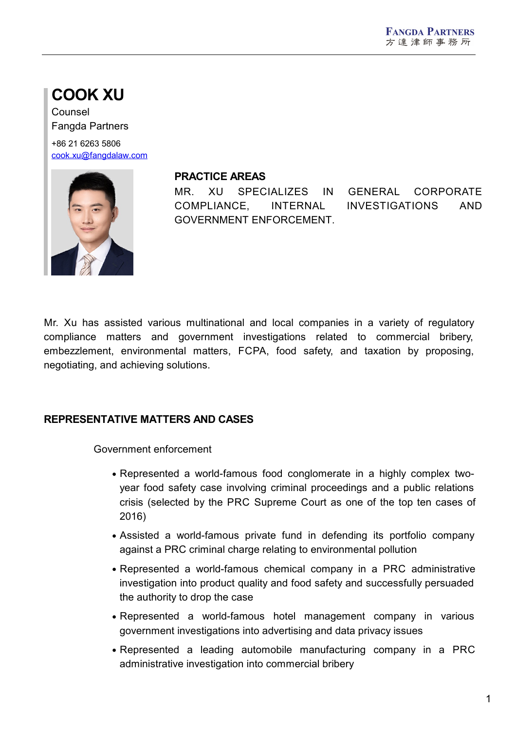# **COOK XU**

Counsel Fangda Partners

+86 21 6263 5806 [cook.xu@fangdalaw.com](mailto:cook.xu@fangdalaw.com)



#### **PRACTICE AREAS**

MR. XU SPECIALIZES IN GENERAL CORPORATE COMPLIANCE, INTERNAL INVESTIGATIONS AND GOVERNMENT ENFORCEMENT.

Mr. Xu has assisted various multinational and local companies in a variety of regulatory compliance matters and government investigations related to commercial bribery, embezzlement, environmental matters, FCPA, food safety, and taxation by proposing, negotiating, and achieving solutions.

## **REPRESENTATIVE MATTERS AND CASES**

Government enforcement

- Represented a world-famous food conglomerate in a highly complex two year food safety case involving criminal proceedings and a public relations crisis (selected by the PRC Supreme Court as one of the top ten cases of 2016)
- Assisted a world-famous private fund in defending its portfolio company against a PRC criminal charge relating to environmental pollution
- Represented a world-famous chemical company in a PRC administrative investigation into product quality and food safety and successfully persuaded the authority to drop the case
- Represented a world-famous hotel management company in various government investigations into advertising and data privacy issues
- Represented a leading automobile manufacturing company in a PRC administrative investigation into commercial bribery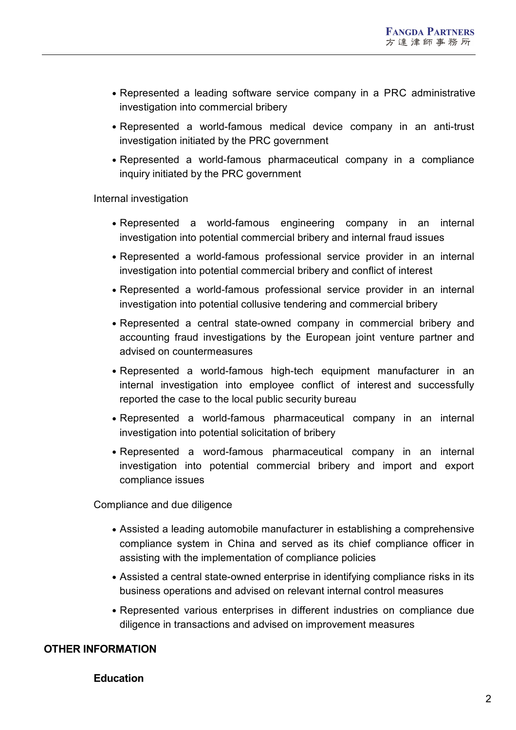- Represented a leading software service company in a PRC administrative investigation into commercial bribery
- Represented a world-famous medical device company in an anti-trust investigation initiated by the PRC government
- Represented a world-famous pharmaceutical company in a compliance inquiry initiated by the PRC government

Internal investigation

- Represented a world-famous engineering company in an internal investigation into potential commercial bribery and internal fraud issues
- Represented a world-famous professional service provider in an internal investigation into potential commercial bribery and conflict of interest
- Represented a world-famous professional service provider in an internal investigation into potential collusive tendering and commercial bribery
- Represented a central state-owned company in commercial bribery and accounting fraud investigations by the European joint venture partner and advised on countermeasures
- Represented a world-famous high-tech equipment manufacturer in an internal investigation into employee conflict of interest and successfully reported the case to the local public security bureau
- Represented a world-famous pharmaceutical company in an internal investigation into potential solicitation of bribery
- Represented a word-famous pharmaceutical company in an internal investigation into potential commercial bribery and import and export compliance issues

Compliance and due diligence

- Assisted a leading automobile manufacturer in establishing a comprehensive compliance system in China and served as its chief compliance officer in assisting with the implementation of compliance policies
- Assisted a central state-owned enterprise in identifying compliance risks in its business operations and advised on relevant internal control measures
- Represented various enterprises in different industries on compliance due diligence in transactions and advised on improvement measures

#### **OTHER INFORMATION**

#### **Education**